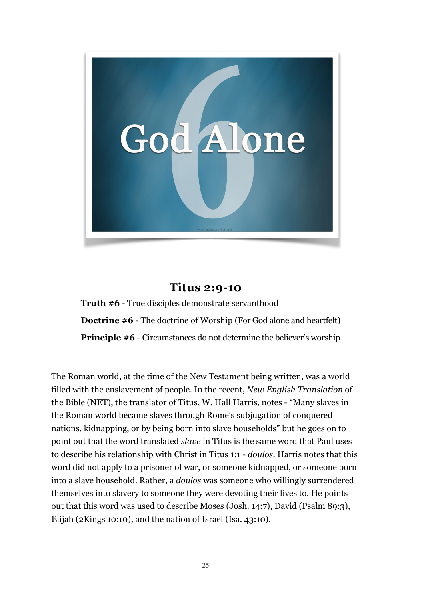

## **Titus 2:9-10**

**Truth #6** - True disciples demonstrate servanthood **Doctrine #6** - The doctrine of Worship (For God alone and heartfelt) **Principle #6** - Circumstances do not determine the believer's worship

The Roman world, at the time of the New Testament being written, was a world filled with the enslavement of people. In the recent, *New English Translation* of the Bible (NET), the translator of Titus, W. Hall Harris, notes - "Many slaves in the Roman world became slaves through Rome's subjugation of conquered nations, kidnapping, or by being born into slave households" but he goes on to point out that the word translated *slave* in Titus is the same word that Paul uses to describe his relationship with Christ in Titus 1:1 - *doulos*. Harris notes that this word did not apply to a prisoner of war, or someone kidnapped, or someone born into a slave household. Rather, a *doulos* was someone who willingly surrendered themselves into slavery to someone they were devoting their lives to. He points out that this word was used to describe Moses (Josh. 14:7), David (Psalm 89:3), Elijah (2Kings 10:10), and the nation of Israel (Isa. 43:10).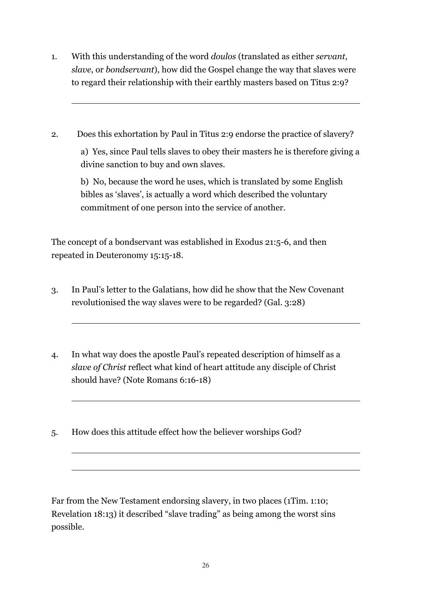- 1. With this understanding of the word *doulos* (translated as either *servant*, *slave*, or *bondservant*), how did the Gospel change the way that slaves were to regard their relationship with their earthly masters based on Titus 2:9?
- 2. Does this exhortation by Paul in Titus 2:9 endorse the practice of slavery? a) Yes, since Paul tells slaves to obey their masters he is therefore giving a divine sanction to buy and own slaves.

b) No, because the word he uses, which is translated by some English bibles as 'slaves', is actually a word which described the voluntary commitment of one person into the service of another.

The concept of a bondservant was established in Exodus 21:5-6, and then repeated in Deuteronomy 15:15-18.

- 3. In Paul's letter to the Galatians, how did he show that the New Covenant revolutionised the way slaves were to be regarded? (Gal. 3:28)
- 4. In what way does the apostle Paul's repeated description of himself as a *slave of Christ* reflect what kind of heart attitude any disciple of Christ should have? (Note Romans 6:16-18)
- 5. How does this attitude effect how the believer worships God?

 $\overline{a}$ 

Far from the New Testament endorsing slavery, in two places (1Tim. 1:10; Revelation 18:13) it described "slave trading" as being among the worst sins possible.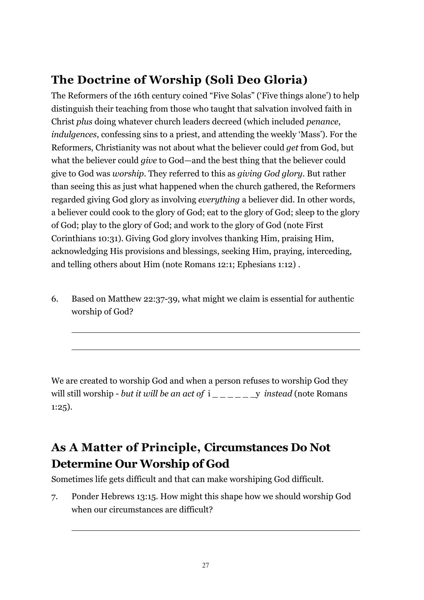## **The Doctrine of Worship (Soli Deo Gloria)**

The Reformers of the 16th century coined "Five Solas" ('Five things alone') to help distinguish their teaching from those who taught that salvation involved faith in Christ *plus* doing whatever church leaders decreed (which included *penance*, *indulgences*, confessing sins to a priest, and attending the weekly 'Mass'). For the Reformers, Christianity was not about what the believer could *get* from God, but what the believer could *give* to God—and the best thing that the believer could give to God was *worship*. They referred to this as *giving God glory*. But rather than seeing this as just what happened when the church gathered, the Reformers regarded giving God glory as involving *everything* a believer did. In other words, a believer could cook to the glory of God; eat to the glory of God; sleep to the glory of God; play to the glory of God; and work to the glory of God (note First Corinthians 10:31). Giving God glory involves thanking Him, praising Him, acknowledging His provisions and blessings, seeking Him, praying, interceding, and telling others about Him (note Romans 12:1; Ephesians 1:12) .

6. Based on Matthew 22:37-39, what might we claim is essential for authentic worship of God?

 $\overline{a}$ 

We are created to worship God and when a person refuses to worship God they will still worship - *but it will be an act of* i \_\_\_\_\_\_y *instead* (note Romans 1:25).

## **As A Matter of Principle, Circumstances Do Not Determine Our Worship of God**

Sometimes life gets difficult and that can make worshiping God difficult.

7. Ponder Hebrews 13:15. How might this shape how we should worship God when our circumstances are difficult?